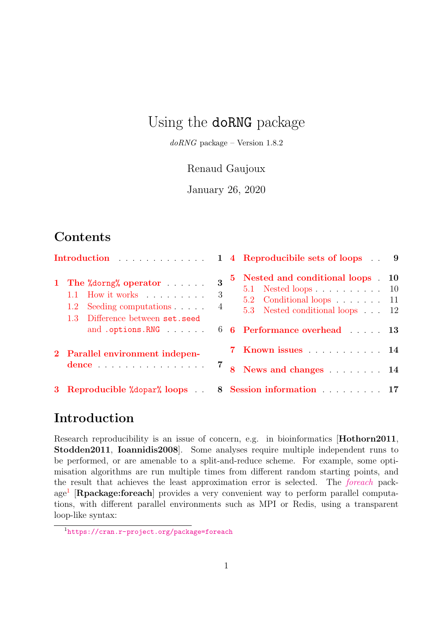# Using the doRNG package

 $doRNG$  package – Version  $1.8.2$ 

#### Renaud Gaujoux

January 26, 2020

# Contents

| Introduction |                                                                                                                                          |             |             | 1 4 Reproducibile sets of loops 9                                                                                                                                                                        |  |
|--------------|------------------------------------------------------------------------------------------------------------------------------------------|-------------|-------------|----------------------------------------------------------------------------------------------------------------------------------------------------------------------------------------------------------|--|
|              | 1 The $\%$ dorng $\%$ operator $\ldots$ .<br>1.1 How it works $\ldots$<br>Seeding computations<br>1.2<br>1.3 Difference between set.seed | 3<br>3<br>4 | $5^{\circ}$ | Nested and conditional loops . 10<br>$5.1$ Nested loops 10<br>5.2 Conditional loops 11<br>5.3 Nested conditional loops 12<br>and .options.RNG $\qquad \qquad 66$ Performance overhead $\qquad \qquad 13$ |  |
|              | 2 Parallel environment indepen-<br>dence 7                                                                                               |             |             | 7 Known issues 14                                                                                                                                                                                        |  |
|              |                                                                                                                                          |             |             | 8 News and changes 14                                                                                                                                                                                    |  |
|              | 3 Reproducible "dopar" loops . 8 Session information 17                                                                                  |             |             |                                                                                                                                                                                                          |  |

## <span id="page-0-0"></span>Introduction

Research reproducibility is an issue of concern, e.g. in bioinformatics [**Hothorn2011**, Stodden2011, Ioannidis2008]. Some analyses require multiple independent runs to be performed, or are amenable to a split-and-reduce scheme. For example, some optimisation algorithms are run multiple times from different random starting points, and the result that achieves the least approximation error is selected. The [foreach](https://cran.r-project.org/package=foreach) pack-age<sup>[1](#page-0-1)</sup> [Rpackage:foreach] provides a very convenient way to perform parallel computations, with different parallel environments such as MPI or Redis, using a transparent loop-like syntax:

<span id="page-0-1"></span><sup>1</sup><https://cran.r-project.org/package=foreach>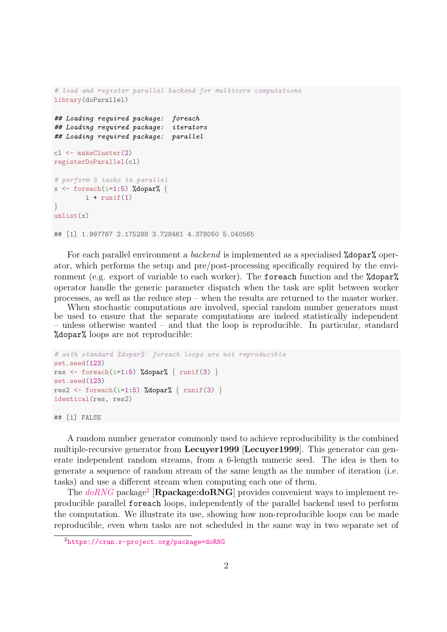```
# load and register parallel backend for multicore computations
library(doParallel)
## Loading required package: foreach
## Loading required package: iterators
## Loading required package: parallel
cl <- makeCluster(2)
registerDoParallel(cl)
# perform 5 tasks in parallel
x \leftarrow foreach(i=1:5) %dopar% {
       i + runif(1)}
unlist(x)## [1] 1.997767 2.175288 3.728461 4.378050 5.040565
```
For each parallel environment a backend is implemented as a specialised %dopar% operator, which performs the setup and pre/post-processing specifically required by the environment (e.g. export of variable to each worker). The foreach function and the "dopar" operator handle the generic parameter dispatch when the task are split between worker processes, as well as the reduce step – when the results are returned to the master worker.

When stochastic computations are involved, special random number generators must be used to ensure that the separate computations are indeed statistically independent – unless otherwise wanted – and that the loop is reproducible. In particular, standard %dopar% loops are not reproducible:

```
# with standard %dopar%: foreach loops are not reproducible
set.seed(123)
res \leftarrow foreach(i=1:5) %dopar% { runif(3) }
set.seed(123)
res2 <- foreach(i=1:5) %dopar% { runif(3) }
identical(res, res2)
## [1] FALSE
```
A random number generator commonly used to achieve reproducibility is the combined multiple-recursive generator from Lecuyer1999 [Lecuyer1999]. This generator can generate independent random streams, from a 6-length numeric seed. The idea is then to generate a sequence of random stream of the same length as the number of iteration (i.e. tasks) and use a different stream when computing each one of them.

The  $doRNG$  package<sup>[2](#page-1-0)</sup> [Rpackage:doRNG] provides convenient ways to implement reproducible parallel foreach loops, independently of the parallel backend used to perform the computation. We illustrate its use, showing how non-reproducible loops can be made reproducible, even when tasks are not scheduled in the same way in two separate set of

<span id="page-1-0"></span><sup>2</sup><https://cran.r-project.org/package=doRNG>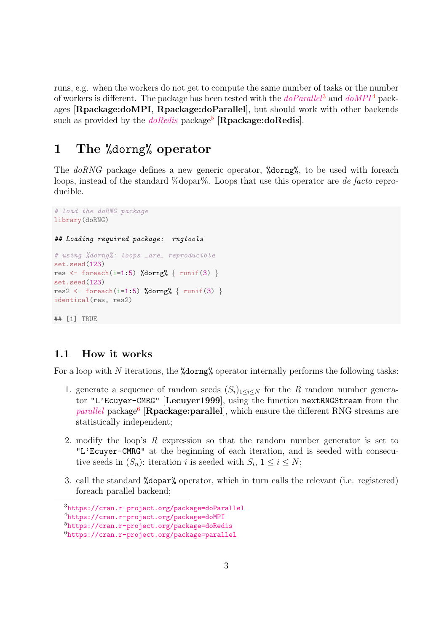runs, e.g. when the workers do not get to compute the same number of tasks or the number of workers is different. The package has been tested with the  $doParallel^3$  $doParallel^3$  $doParallel^3$  and  $doMPI^4$  $doMPI^4$  $doMPI^4$  packages [Rpackage:doMPI, Rpackage:doParallel], but should work with other backends such as provided by the  $doRedis$  package<sup>[5](#page-2-4)</sup> [Rpackage:doRedis].

# <span id="page-2-0"></span>1 The %dorng% operator

The doRNG package defines a new generic operator, %dorng%, to be used with foreach loops, instead of the standard %dopar%. Loops that use this operator are *de facto* reproducible.

```
# load the doRNG package
library(doRNG)
## Loading required package: rngtools
# using %dorng%: loops _are_ reproducible
set.seed(123)
res \leftarrow foreach(i=1:5) %dorng% { runif(3) }
set.seed(123)
res2 <- foreach(i=1:5) %dorng% { runif(3) }
identical(res, res2)
## [1] TRUE
```
#### <span id="page-2-1"></span>1.1 How it works

For a loop with  $N$  iterations, the **%dorng%** operator internally performs the following tasks:

- 1. generate a sequence of random seeds  $(S_i)_{1\leq i\leq N}$  for the R random number generator "L'Ecuyer-CMRG" [Lecuyer1999], using the function nextRNGStream from the [parallel](https://cran.r-project.org/package=parallel) package<sup>[6](#page-2-5)</sup> [Rpackage:parallel], which ensure the different RNG streams are statistically independent;
- 2. modify the loop's R expression so that the random number generator is set to "L'Ecuyer-CMRG" at the beginning of each iteration, and is seeded with consecutive seeds in  $(S_n)$ : iteration *i* is seeded with  $S_i$ ,  $1 \leq i \leq N$ ;
- 3. call the standard %dopar% operator, which in turn calls the relevant (i.e. registered) foreach parallel backend;

<span id="page-2-2"></span><sup>3</sup><https://cran.r-project.org/package=doParallel>

<span id="page-2-3"></span><sup>4</sup><https://cran.r-project.org/package=doMPI>

<span id="page-2-4"></span><sup>5</sup><https://cran.r-project.org/package=doRedis>

<span id="page-2-5"></span><sup>6</sup><https://cran.r-project.org/package=parallel>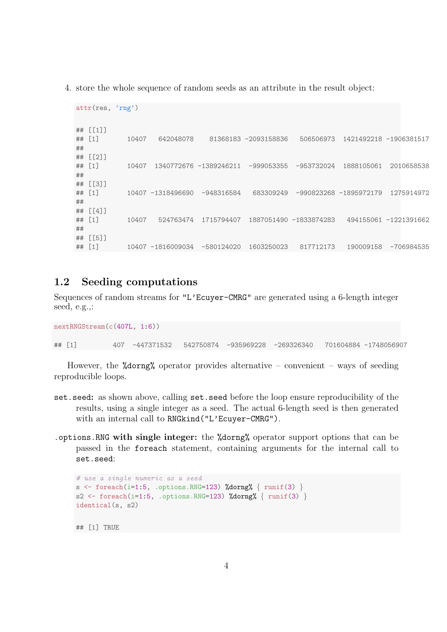4. store the whole sequence of random seeds as an attribute in the result object:

```
attr(res, 'rng')
## [[1]]
## [1] 10407 642048078 81368183 -2093158836 506506973 1421492218 -1906381517
##
## [[2]]
## [1] 10407 1340772676 -1389246211 -999053355 -953732024 1888105061 2010658538
##
## [[3]]
## [1] 10407 -1318496690 -948316584 683309249 -990823268 -1895972179 1275914972
##
## [[4]]
## [1] 10407 524763474 1715794407 1887051490 -1833874283 494155061 -1221391662
##
## [[5]]
## [1] 10407 -1816009034 -580124020 1603250023 817712173 190009158 -706984535
```
#### <span id="page-3-0"></span>1.2 Seeding computations

Sequences of random streams for "L'Ecuyer-CMRG" are generated using a 6-length integer seed, e.g.,:

```
nextRNGStream(c(407L, 1:6))
## [1] 407 -447371532 542750874 -935969228 -269326340 701604884 -1748056907
```
However, the  $\%$  dorng  $\%$  operator provides alternative – convenient – ways of seeding reproducible loops.

- set.seed: as shown above, calling set.seed before the loop ensure reproducibility of the results, using a single integer as a seed. The actual 6-length seed is then generated with an internal call to RNGkind("L'Ecuyer-CMRG").
- .options.RNG with single integer: the %dorng% operator support options that can be passed in the foreach statement, containing arguments for the internal call to set.seed:

```
# use a single numeric as a seed
s <- foreach(i=1:5, .options.RNG=123) %dorng% \{ runif(3) \}s2 <- foreach(i=1:5, .options.RNG=123) %dorng% { runif(3) }
identical(s, s2)
## [1] TRUE
```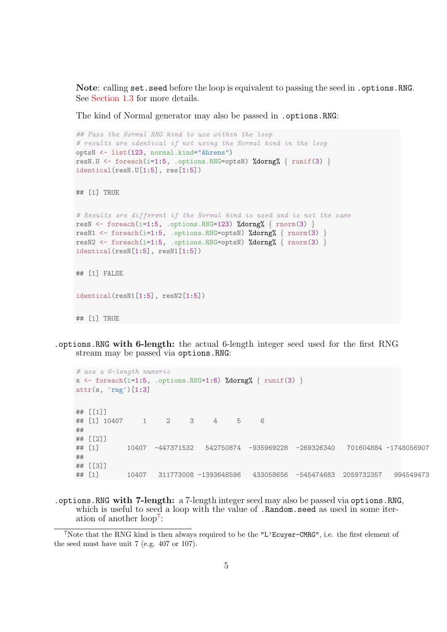Note: calling set.seed before the loop is equivalent to passing the seed in .options.RNG. See [Section 1.3](#page-5-0) for more details.

The kind of Normal generator may also be passed in . options. RNG:

```
## Pass the Normal RNG kind to use within the loop
# results are identical if not using the Normal kind in the loop
optsN <- list(123, normal.kind="Ahrens")
resN.U <- foreach(i=1:5, .options.RNG=optsN) %dorng% { runif(3) }
identical(resN.U[1:5], res[1:5])## [1] TRUE
# Results are different if the Normal kind is used and is not the same
resN <- foreach(i=1:5, .options.RNG=123) %dorng% { rnorm(3) }
resN1 <- foreach(i=1:5, .options.RNG=optsN) %dorng% { rnorm(3) }
resN2 <- foreach(i=1:5, .options.RNG=optsN) %dorng% { rnorm(3) }
identical(resN[1:5], resN1[1:5])
## [1] FALSE
identical(resN1[1:5], resN2[1:5])
## [1] TRUE
```
.options.RNG with 6-length: the actual 6-length integer seed used for the first RNG stream may be passed via options.RNG:

```
# use a 6-length numeric
s <- foreach(i=1:5, .options.RNG=1:6) %dorng% { runif(3) }
attr(s, 'rng')[1:3]
## [[1]]
## [1] 10407 1 2 3 4 5 6
##
## [[2]]
## [1] 10407 -447371532 542750874 -935969228 -269326340 701604884 -1748056907
##
## [[3]]
## [1] 10407 311773008 -1393648596 433058656 -545474683 2059732357 994549473
```
.options.RNG with 7-length: a 7-length integer seed may also be passed via options.RNG, which is useful to seed a loop with the value of **.Random.seed** as used in some iter-ation of another loop<sup>[7](#page-4-0)</sup>:

<span id="page-4-0"></span><sup>&</sup>lt;sup>7</sup>Note that the RNG kind is then always required to be the "L'Ecuyer-CMRG", i.e. the first element of the seed must have unit 7 (e.g. 407 or 107).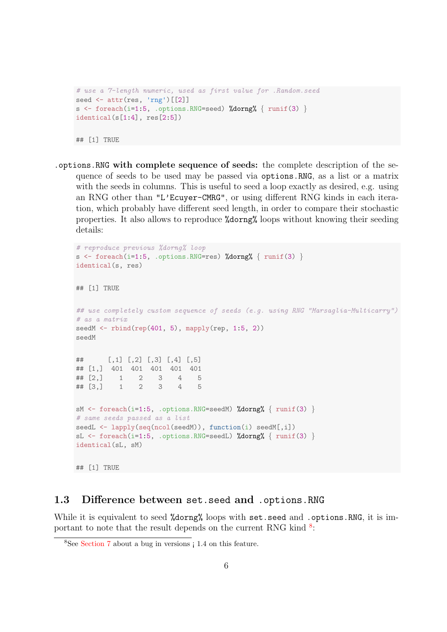```
# use a 7-length numeric, used as first value for .Random.seed
seed \leftarrow attr(res, 'rng')[[2]]
s \leftarrow foreach(i=1:5, .options.RNG=seed) %dorng% { runif(3) }
identical(s[1:4], res[2:5])## [1] TRUE
```
.options.RNG with complete sequence of seeds: the complete description of the sequence of seeds to be used may be passed via options.RNG, as a list or a matrix with the seeds in columns. This is useful to seed a loop exactly as desired, e.g. using an RNG other than "L'Ecuyer-CMRG", or using different RNG kinds in each iteration, which probably have different seed length, in order to compare their stochastic properties. It also allows to reproduce %dorng% loops without knowing their seeding details:

```
# reproduce previous %dorng% loop
s \le foreach(i=1:5, .options.RNG=res) %dorng% { runif(3) }
identical(s, res)
## [1] TRUE
## use completely custom sequence of seeds (e.g. using RNG "Marsaglia-Multicarry")
# as a matrix
seedM \leftarrow rbind(rep(401, 5), mapply(rep, 1:5, 2))
seedM
## [,1] [,2] [,3] [,4] [,5]
## [1,] 401 401 401 401 401
## [2,] 1 2 3 4 5
\# [3,] 1 2 3 4
sM \leftarrow foreach(i=1:5, .options.RNG=seedM) %dorng% { runif(3) }
# same seeds passed as a list
seedL <- lapply(seq(ncol(seedM)), function(i) seedM[,i])
sL \leftarrow foreach(i=1:5, .options.RNG=seedL) %dorng% { runif(3) }
identical(sL, sM)
## [1] TRUE
```
#### <span id="page-5-0"></span>1.3 Difference between set.seed and .options.RNG

While it is equivalent to seed %dorng% loops with set.seed and .options.RNG, it is important to note that the result depends on the current RNG kind  $8$ .

<span id="page-5-1"></span><sup>8</sup>See [Section 7](#page-13-0) about a bug in versions ¡ 1.4 on this feature.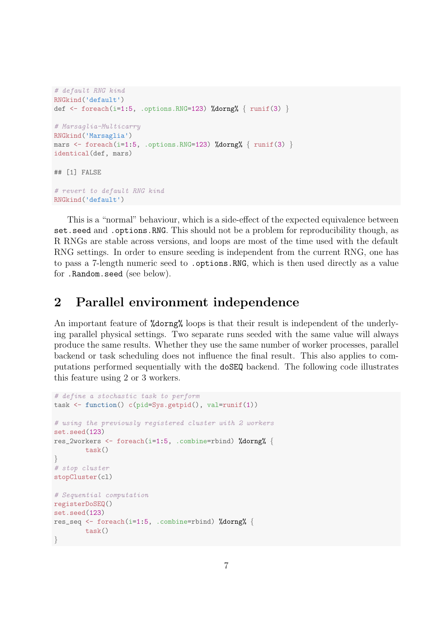```
# default RNG kind
RNGkind('default')
def \le foreach(i=1:5, .options.RNG=123) %dorng% { runif(3) }
# Marsaglia-Multicarry
RNGkind('Marsaglia')
mars \leq foreach(i=1:5, .options.RNG=123) %dorng% { runif(3) }
identical(def, mars)
## [1] FALSE
# revert to default RNG kind
RNGkind('default')
```
This is a "normal" behaviour, which is a side-effect of the expected equivalence between set.seed and .options.RNG. This should not be a problem for reproducibility though, as R RNGs are stable across versions, and loops are most of the time used with the default RNG settings. In order to ensure seeding is independent from the current RNG, one has to pass a 7-length numeric seed to .options.RNG, which is then used directly as a value for .Random.seed (see below).

## <span id="page-6-0"></span>2 Parallel environment independence

An important feature of %dorng% loops is that their result is independent of the underlying parallel physical settings. Two separate runs seeded with the same value will always produce the same results. Whether they use the same number of worker processes, parallel backend or task scheduling does not influence the final result. This also applies to computations performed sequentially with the doSEQ backend. The following code illustrates this feature using 2 or 3 workers.

```
# define a stochastic task to perform
task <- function() c(pid=Sys.getpid(), val=runif(1))
# using the previously registered cluster with 2 workers
set.seed(123)
res_2workers <- foreach(i=1:5, .combine=rbind) %dorng% {
        task()
}
# stop cluster
stopCluster(cl)
# Sequential computation
registerDoSEQ()
set.seed(123)
res_seq <- foreach(i=1:5, .combine=rbind) %dorng% {
        task()
}
```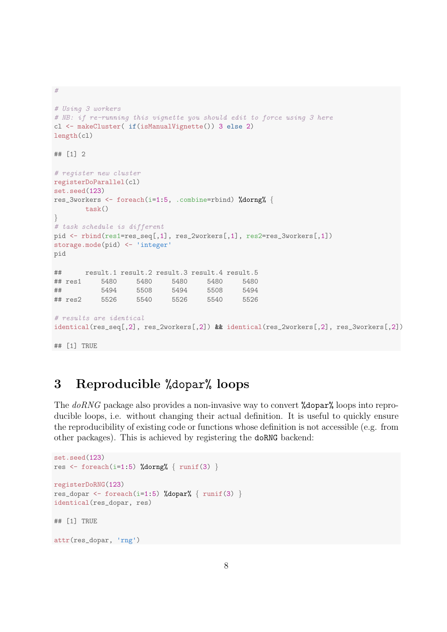#

```
# Using 3 workers
# NB: if re-running this vignette you should edit to force using 3 here
cl <- makeCluster( if(isManualVignette()) 3 else 2)
length(cl)
## [1] 2
# register new cluster
registerDoParallel(cl)
set.seed(123)
res_3workers <- foreach(i=1:5, .combine=rbind) %dorng% {
       task()
}
# task schedule is different
pid <- rbind(res1=res_seq[,1], res_2workers[,1], res2=res_3workers[,1])
storage.mode(pid) <- 'integer'
pid
## result.1 result.2 result.3 result.4 result.5
## res1 5480 5480 5480 5480 5480
## 5494 5508 5494 5508 5494
## res2 5526 5540 5526 5540 5526
# results are identical
identical(res_seq[,2], res_2workers[,2]) && identical(res_2workers[,2], res_3workers[,2])
## [1] TRUE
```
# <span id="page-7-0"></span>3 Reproducible %dopar% loops

The doRNG package also provides a non-invasive way to convert **%dopar%** loops into reproducible loops, i.e. without changing their actual definition. It is useful to quickly ensure the reproducibility of existing code or functions whose definition is not accessible (e.g. from other packages). This is achieved by registering the doRNG backend:

```
set.seed(123)
res \leftarrow foreach(i=1:5) %dorng% { runif(3) }
registerDoRNG(123)
res_dopar <- foreach(i=1:5) %dopar% { runif(3) }
identical(res_dopar, res)
## [1] TRUE
attr(res_dopar, 'rng')
```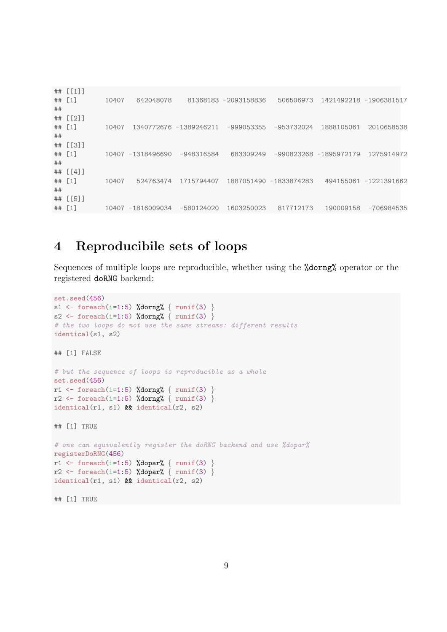## [[1]]<br>## [1] ## [1] 10407 642048078 81368183 -2093158836 506506973 1421492218 -1906381517 ## ## [[2]] ## [1] 10407 1340772676 -1389246211 -999053355 -953732024 1888105061 2010658538 ## ## [[3]] ## [1] 10407 -1318496690 -948316584 683309249 -990823268 -1895972179 1275914972 ## ## [[4]] ## [1] 10407 524763474 1715794407 1887051490 -1833874283 494155061 -1221391662 ## ## [[5]] ## [1] 10407 -1816009034 -580124020 1603250023 817712173 190009158 -706984535

## <span id="page-8-0"></span>4 Reproducibile sets of loops

Sequences of multiple loops are reproducible, whether using the %dorng% operator or the registered doRNG backend:

```
set.seed(456)
s1 <- foreach(i=1:5) %dorng% { runif(3) }
s2 <- foreach(i=1:5) %dorng% { runif(3) }
# the two loops do not use the same streams: different results
identical(s1, s2)
## [1] FALSE
# but the sequence of loops is reproducible as a whole
set.seed(456)
r1 <- foreach(i=1:5) %dorng% { runif(3) }
r2 \leftarrow foreach(i=1:5) %dorng% { runif(3) }
identical(r1, s1) && identical(r2, s2)
## [1] TRUE
# one can equivalently register the doRNG backend and use %dopar%
registerDoRNG(456)
r1 \leftarrow foreach(i=1:5) %dopar% { runif(3)
r2 \leftarrow foreach(i=1:5) %dopar% { runif(3) }
identical(r1, s1) && identical(r2, s2)
## [1] TRUE
```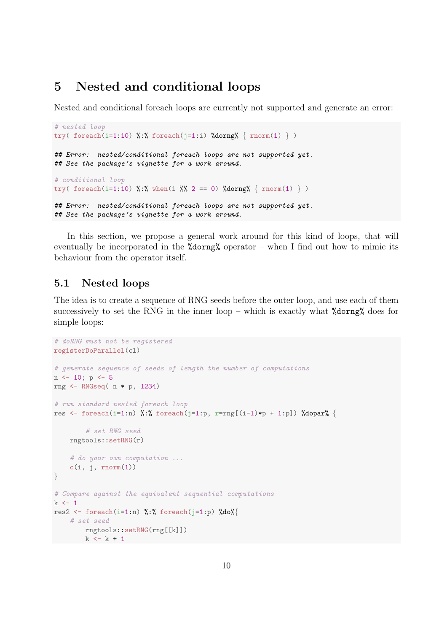### <span id="page-9-0"></span>5 Nested and conditional loops

Nested and conditional foreach loops are currently not supported and generate an error:

```
# nested loop
try( foreach(i=1:10) %:% foreach(j=1:i) %dorng% { rnorm(1) })
## Error: nested/conditional foreach loops are not supported yet.
## See the package's vignette for a work around.
# conditional loop
try( foreach(i=1:10) %:% when(i %% 2 == 0) %dorng% { rnorm(1) } )
## Error: nested/conditional foreach loops are not supported yet.
## See the package's vignette for a work around.
```
In this section, we propose a general work around for this kind of loops, that will eventually be incorporated in the  $\lambda$  dorng $\lambda$  operator – when I find out how to mimic its behaviour from the operator itself.

#### <span id="page-9-1"></span>5.1 Nested loops

The idea is to create a sequence of RNG seeds before the outer loop, and use each of them successively to set the RNG in the inner loop – which is exactly what  $% \text{d} \text{org}$  does for simple loops:

```
# doRNG must not be registered
registerDoParallel(cl)
# generate sequence of seeds of length the number of computations
n \leftarrow 10; p \leftarrow 5rng <- RNGseq( n * p, 1234)
# run standard nested foreach loop
res <- foreach(i=1:n) %:% foreach(j=1:p, r=rng[(i-1)*p + 1:p]) %dopar% {
        # set RNG seed
    rngtools::setRNG(r)
    # do your own computation ...
    c(i, j, rnorm(1))}
# Compare against the equivalent sequential computations
k \leftarrow 1res2 <- foreach(i=1:n) %:% foreach(j=1:p) %do%{
   # set seed
       rngtools::setRNG(rng[[k]])
   k \leq k + 1
```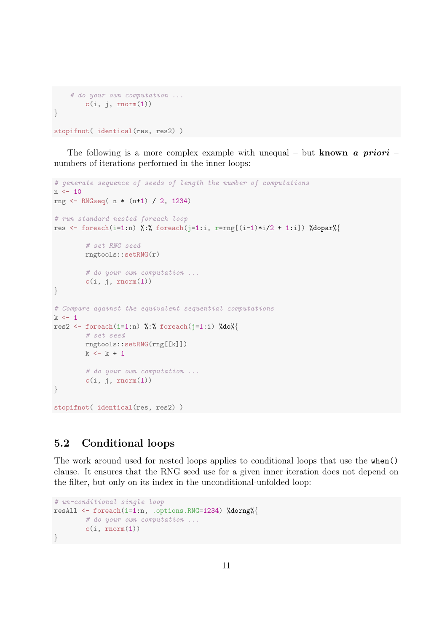```
# do your own computation ...
        c(i, j, rnorm(1))}
stopifnot( identical(res, res2) )
```
The following is a more complex example with unequal – but known a priori – numbers of iterations performed in the inner loops:

```
# generate sequence of seeds of length the number of computations
n <- 10
rng <- RNGseq( n * (n+1) / 2, 1234)
# run standard nested foreach loop
res <- foreach(i=1:n) %:% foreach(j=1:i, r=rng[(i-1)*i/2 + 1:i]) %dopar%{
        # set RNG seed
        rngtools::setRNG(r)
        # do your own computation ...
        c(i, j, rnorm(1))}
# Compare against the equivalent sequential computations
k \leq -1res2 <- foreach(i=1:n) %:% foreach(j=1:i) %do%{
       # set seed
       rngtools::setRNG(rng[[k]])
        k \leftarrow k + 1# do your own computation ...
        c(i, j, rnorm(1))}
stopifnot( identical(res, res2) )
```
### <span id="page-10-0"></span>5.2 Conditional loops

The work around used for nested loops applies to conditional loops that use the when() clause. It ensures that the RNG seed use for a given inner iteration does not depend on the filter, but only on its index in the unconditional-unfolded loop:

```
# un-conditional single loop
resAll <- foreach(i=1:n, .options.RNG=1234) %dorng%{
       # do your own computation ...
       c(i, rnorm(1))}
```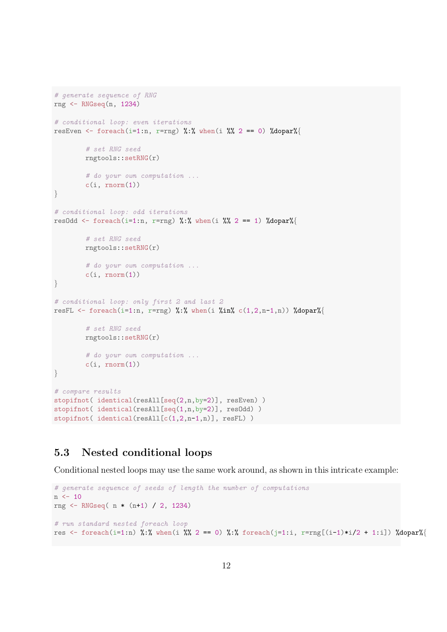```
# generate sequence of RNG
rng <- RNGseq(n, 1234)
# conditional loop: even iterations
resEven <- foreach(i=1:n, r=rng) %:% when(i %% 2 == 0) %dopar%{
        # set RNG seed
        rngtools::setRNG(r)
        # do your own computation ...
        c(i, rnorm(1))}
# conditional loop: odd iterations
resOdd <- foreach(i=1:n, r=rng) %:% when(i %% 2 == 1) %dopar%{
        # set RNG seed
        rngtools::setRNG(r)
        # do your own computation ...
        c(i, rnorm(1))}
# conditional loop: only first 2 and last 2
resFL \le foreach(i=1:n, r=rng) %:% when(i %in% c(1,2,n-1,n)) %dopar%{
        # set RNG seed
        rngtools::setRNG(r)
        # do your own computation ...
        c(i, rnorm(1))}
# compare results
stopifnot( identical(resAll[seq(2,n,by=2)], resEven) )
stopifnot( identical(resAll[seq(1,n,by=2)], resOdd) )
stopifnot( identical(resAll[c(1,2,n-1,n)], resFL) )
```
#### <span id="page-11-0"></span>5.3 Nested conditional loops

Conditional nested loops may use the same work around, as shown in this intricate example:

```
# generate sequence of seeds of length the number of computations
n <- 10
rng <- RNGseq( n * (n+1) / 2, 1234)
# run standard nested foreach loop
res <- foreach(i=1:n) %:% when(i %% 2 == 0) %:% foreach(j=1:i, r=rng[(i-1)*i/2 + 1:i]) %dopar%{
```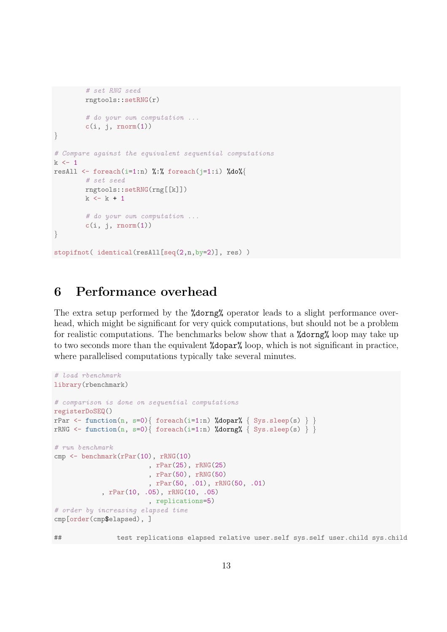```
# set RNG seed
        rngtools::setRNG(r)
        # do your own computation ...
        c(i, j, rnorm(1))}
# Compare against the equivalent sequential computations
k \leq -1resAll <- foreach(i=1:n) %:% foreach(j=1:i) %do%{
        # set seed
        rngtools::setRNG(rng[[k]])
        k \leftarrow k + 1# do your own computation ...
        c(i, j, rnorm(1))}
stopifnot( identical(resAll[seq(2,n,by=2)], res) )
```
## <span id="page-12-0"></span>6 Performance overhead

The extra setup performed by the %dorng% operator leads to a slight performance overhead, which might be significant for very quick computations, but should not be a problem for realistic computations. The benchmarks below show that a %dorng% loop may take up to two seconds more than the equivalent %dopar% loop, which is not significant in practice, where parallelised computations typically take several minutes.

```
# load rbenchmark
library(rbenchmark)
# comparison is done on sequential computations
registerDoSEQ()
rPar \leftarrow function(n, s=0){ foreach(i=1:n) %dopar% { Sys.sleep(s) } }
rRNG <- function(n, s=0){ foreach(i=1:n) %dorng% { Sys.sleep(s) } }
# run benchmark
cmp \leq benchmark(rPar(10), rRNG(10)
                         , rPar(25), rRNG(25)
                         , rPar(50), rRNG(50)
                         , rPar(50, .01), rRNG(50, .01)
            , rPar(10, .05), rRNG(10, .05)
                        , replications=5)
# order by increasing elapsed time
cmp[order(cmp$elapsed), ]
```
## test replications elapsed relative user.self sys.self user.child sys.child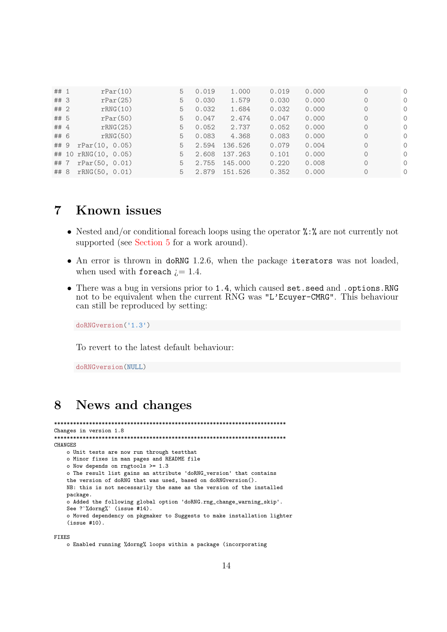| ## 1 | rPar(10)                   | 5. | 0.019 | 1.000   | 0.019 | 0.000 | $\circ$  | $\Omega$ |
|------|----------------------------|----|-------|---------|-------|-------|----------|----------|
| ## 3 | rPar(25)                   | 5  | 0.030 | 1.579   | 0.030 | 0.000 | $\Omega$ | $\Omega$ |
| ## 2 | rRNG(10)                   | 5. | 0.032 | 1.684   | 0.032 | 0.000 | $\circ$  | $\Omega$ |
| ## 5 | rPar(50)                   | 5. | 0.047 | 2.474   | 0.047 | 0.000 | $\Omega$ | $\Omega$ |
| ## 4 | rRNG(25)                   | 5. | 0.052 | 2.737   | 0.052 | 0.000 | $\Omega$ | $\Omega$ |
| ## 6 | rRNG(50)                   | 5. | 0.083 | 4.368   | 0.083 | 0.000 | $\Omega$ | $\Omega$ |
| ## 9 | rPar(10, 0.05)             | 5. | 2.594 | 136.526 | 0.079 | 0.004 | $\Omega$ | $\Omega$ |
|      | ## 10 rRNG(10, 0.05)       | 5. | 2.608 | 137.263 | 0.101 | 0.000 | $\Omega$ | $\Omega$ |
| ##7  | rPar(50, 0.01)             | 5. | 2.755 | 145.000 | 0.220 | 0.008 | $\Omega$ | $\Omega$ |
|      | $\#$ # 8 rRNG $(50, 0.01)$ | 5. | 2.879 | 151.526 | 0.352 | 0.000 | $\circ$  | $\Omega$ |

## <span id="page-13-0"></span>7 Known issues

- Nested and/or conditional foreach loops using the operator  $\lambda : \lambda$  are not currently not supported (see [Section 5](#page-9-0) for a work around).
- An error is thrown in doRNG 1.2.6, when the package iterators was not loaded, when used with foreach  $i = 1.4$ .
- There was a bug in versions prior to 1.4, which caused set.seed and .options.RNG not to be equivalent when the current RNG was "L'Ecuyer-CMRG". This behaviour can still be reproduced by setting:

```
doRNGversion('1.3')
```
To revert to the latest default behaviour:

doRNGversion(NULL)

## <span id="page-13-1"></span>8 News and changes

```
*************************************************************************
Changes in version 1.8
*************************************************************************
CHANGES
    o Unit tests are now run through testthat
    o Minor fixes in man pages and README file
    o Now depends on rngtools >= 1.3
    o The result list gains an attribute 'doRNG_version' that contains
    the version of doRNG that was used, based on doRNGversion().
    NB: this is not necessarily the same as the version of the installed
    package.
    o Added the following global option 'doRNG.rng_change_warning_skip'.
    See ?`%dorng%` (issue #14).
    o Moved dependency on pkgmaker to Suggests to make installation lighter
    (issue #10).
```
FIXES

o Enabled running %dorng% loops within a package (incorporating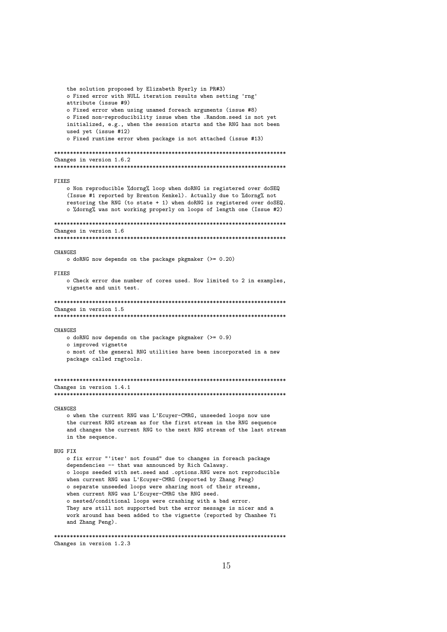the solution proposed by Elizabeth Byerly in PR#3) o Fixed error with NULL iteration results when setting 'rng' attribute (issue #9) o Fixed error when using unamed foreach arguments (issue #8) o Fixed non-reproducibility issue when the .Random.seed is not yet initialized, e.g., when the session starts and the RNG has not been used yet (issue #12) o Fixed runtime error when package is not attached (issue #13) \*\*\*\*\*\*\*\*\*\*\*\*\*\*\*\*\*\*\*\*\*\*\*\*\*\*\*\*\*\*\*\*\*\*\*\*\*\*\*\*\*\*\*\*\*\*\*\*\*\*\*\*\*\*\*\*\*\*\*\*\*\*\*\*\*\*\*\*\*\*\*\*\* Changes in version 1.6.2 \*\*\*\*\*\*\*\*\*\*\*\*\*\*\*\*\*\*\*\*\*\*\*\*\*\*\*\*\*\*\*\*\*\*\*\*\*\*\*\*\*\*\*\*\*\*\*\*\*\*\*\*\*\*\*\*\*\*\*\*\*\*\*\*\*\*\*\*\*\*\*\*\* FIXES o Non reproducible %dorng% loop when doRNG is registered over doSEQ (Issue #1 reported by Brenton Kenkel). Actually due to %dorng% not restoring the RNG (to state + 1) when doRNG is registered over doSEQ. o %dorng% was not working properly on loops of length one (Issue #2) \*\*\*\*\*\*\*\*\*\*\*\*\*\*\*\*\*\*\*\*\*\*\*\*\*\*\*\*\*\*\*\*\*\*\*\*\*\*\*\*\*\*\*\*\*\*\*\*\*\*\*\*\*\*\*\*\*\*\*\*\*\*\*\*\*\*\*\*\*\*\*\*\* Changes in version 1.6 \*\*\*\*\*\*\*\*\*\*\*\*\*\*\*\*\*\*\*\*\*\*\*\*\*\*\*\*\*\*\*\*\*\*\*\*\*\*\*\*\*\*\*\*\*\*\*\*\*\*\*\*\*\*\*\*\*\*\*\*\*\*\*\*\*\*\*\*\*\*\*\*\* CHANGES o doRNG now depends on the package pkgmaker (>= 0.20) FIXES o Check error due number of cores used. Now limited to 2 in examples, vignette and unit test. \*\*\*\*\*\*\*\*\*\*\*\*\*\*\*\*\*\*\*\*\*\*\*\*\*\*\*\*\*\*\*\*\*\*\*\*\*\*\*\*\*\*\*\*\*\*\*\*\*\*\*\*\*\*\*\*\*\*\*\*\*\*\*\*\*\*\*\*\*\*\*\*\* Changes in version 1.5 \*\*\*\*\*\*\*\*\*\*\*\*\*\*\*\*\*\*\*\*\*\*\*\*\*\*\*\*\*\*\*\*\*\*\*\*\*\*\*\*\*\*\*\*\*\*\*\*\*\*\*\*\*\*\*\*\*\*\*\*\*\*\*\*\*\*\*\*\*\*\*\*\* CHANGES o doRNG now depends on the package pkgmaker (>= 0.9) o improved vignette o most of the general RNG utilities have been incorporated in a new package called rngtools. \*\*\*\*\*\*\*\*\*\*\*\*\*\*\*\*\*\*\*\*\*\*\*\*\*\*\*\*\*\*\*\*\*\*\*\*\*\*\*\*\*\*\*\*\*\*\*\*\*\*\*\*\*\*\*\*\*\*\*\*\*\*\*\*\*\*\*\*\*\*\*\*\* Changes in version 1.4.1 \*\*\*\*\*\*\*\*\*\*\*\*\*\*\*\*\*\*\*\*\*\*\*\*\*\*\*\*\*\*\*\*\*\*\*\*\*\*\*\*\*\*\*\*\*\*\*\*\*\*\*\*\*\*\*\*\*\*\*\*\*\*\*\*\*\*\*\*\*\*\*\*\* CHANGES o when the current RNG was L'Ecuyer-CMRG, unseeded loops now use the current RNG stream as for the first stream in the RNG sequence and changes the current RNG to the next RNG stream of the last stream in the sequence. BUG FIX o fix error "'iter' not found" due to changes in foreach package dependencies -- that was announced by Rich Calaway. o loops seeded with set.seed and .options.RNG were not reproducible when current RNG was L'Ecuyer-CMRG (reported by Zhang Peng) o separate unseeded loops were sharing most of their streams, when current RNG was L'Ecuyer-CMRG the RNG seed. o nested/conditional loops were crashing with a bad error. They are still not supported but the error message is nicer and a work around has been added to the vignette (reported by Chanhee Yi and Zhang Peng).

\*\*\*\*\*\*\*\*\*\*\*\*\*\*\*\*\*\*\*\*\*\*\*\*\*\*\*\*\*\*\*\*\*\*\*\*\*\*\*\*\*\*\*\*\*\*\*\*\*\*\*\*\*\*\*\*\*\*\*\*\*\*\*\*\*\*\*\*\*\*\*\*\*

Changes in version 1.2.3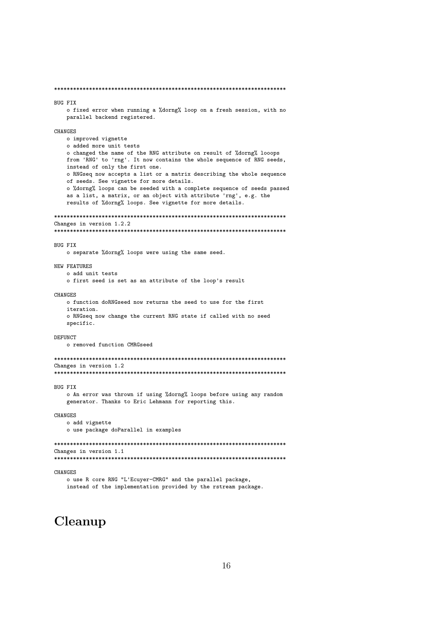\*\*\*\*\*\*\*\*\*\*\*\*\*\*\*\*\*\*\*\*\*\*\*\*\*\*\*\*\*\*\*\*\*\*\*\*\*\*\*\*\*\*\*\*\*\*\*\*\*\*\*\*\*\*\*\*\*\*\*\*\*\*\*\*\*\*\*\*\*\*\*\*\*

#### BUG FIX

o fixed error when running a %dorng% loop on a fresh session, with no parallel backend registered.

**CHANGES** o improved vignette o added more unit tests o changed the name of the RNG attribute on result of %dorng% looops from 'RNG' to 'rng'. It now contains the whole sequence of RNG seeds, instead of only the first one. o RNGseq now accepts a list or a matrix describing the whole sequence of seeds. See vignette for more details. o %dorng% loops can be seeded with a complete sequence of seeds passed as a list, a matrix, or an object with attribute 'rng', e.g. the results of %dorng% loops. See vignette for more details. \*\*\*\*\*\*\*\*\*\*\*\*\*\*\*\*\*\*\*\*\*\*\*\*\*\*\*\*\*\*\*\*\*\*\*\*\*\*\*\*\*\*\*\*\*\*\*\*\*\*\*\*\*\*\*\*\*\*\*\*\*\*\*\*\*\*\*\*\*\*\*\*\* Changes in version 1.2.2 \*\*\*\*\*\*\*\*\*\*\*\*\*\*\*\*\*\*\*\*\*\*\*\*\*\*\*\*\*\*\*\*\*\*\*\*\*\*\*\*\*\*\*\*\*\*\*\*\*\*\*\*\*\*\*\*\*\*\*\*\*\*\*\*\*\*\*\*\*\*\*\*\* BUG FIX o separate %dorng% loops were using the same seed. NEW FEATURES o add unit tests o first seed is set as an attribute of the loop's result **CHANGES** o function doRNGseed now returns the seed to use for the first iteration. o RNGseq now change the current RNG state if called with no seed specific. DEFUNCT o removed function CMRGseed \*\*\*\*\*\*\*\*\*\*\*\*\*\*\*\*\*\*\*\*\*\*\*\*\*\*\*\*\*\*\*\*\*\*\*\*\*\*\*\*\*\*\*\*\*\*\*\*\*\*\*\*\*\*\*\*\*\*\*\*\*\*\*\*\*\*\*\*\*\*\*\*\* Changes in version 1.2 \*\*\*\*\*\*\*\*\*\*\*\*\*\*\*\*\*\*\*\*\*\*\*\*\*\*\*\*\*\*\*\*\*\*\*\*\*\*\*\*\*\*\*\*\*\*\*\*\*\*\*\*\*\*\*\*\*\*\*\*\*\*\*\*\*\*\*\*\*\*\*\*\* BUG FIX o An error was thrown if using %dorng% loops before using any random generator. Thanks to Eric Lehmann for reporting this. CHANGES o add vignette o use package doParallel in examples \*\*\*\*\*\*\*\*\*\*\*\*\*\*\*\*\*\*\*\*\*\*\*\*\*\*\*\*\*\*\*\*\*\*\*\*\*\*\*\*\*\*\*\*\*\*\*\*\*\*\*\*\*\*\*\*\*\*\*\*\*\*\*\*\*\*\*\*\*\*\*\*\* Changes in version 1.1 \*\*\*\*\*\*\*\*\*\*\*\*\*\*\*\*\*\*\*\*\*\*\*\*\*\*\*\*\*\*\*\*\*\*\*\*\*\*\*\*\*\*\*\*\*\*\*\*\*\*\*\*\*\*\*\*\*\*\*\*\*\*\*\*\*\*\*\*\*\*\*\*\*

CHANGES

o use R core RNG "L'Ecuyer-CMRG" and the parallel package, instead of the implementation provided by the rstream package.

## Cleanup